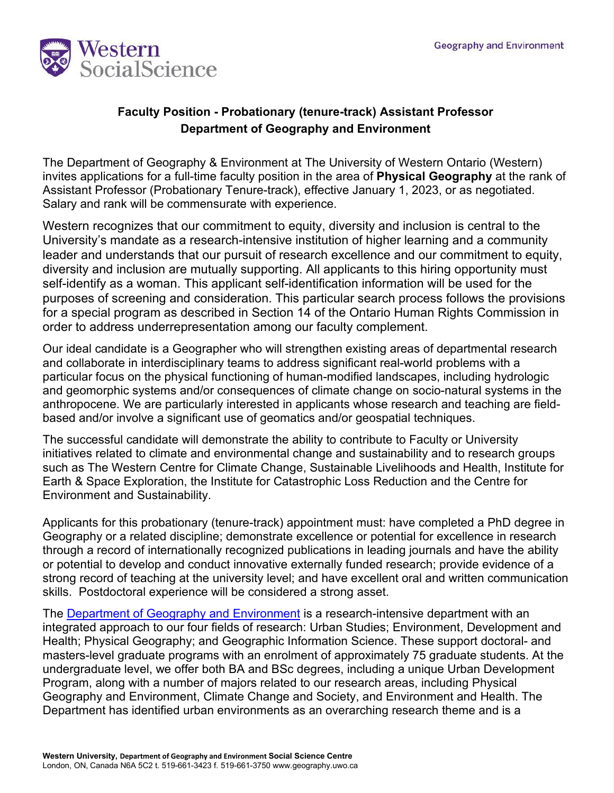

## **Faculty Position - Probationary (tenure-track) Assistant Professor Department of Geography and Environment**

The Department of Geography & Environment at The University of Western Ontario (Western) invites applications for a full-time faculty position in the area of **Physical Geography** at the rank of Assistant Professor (Probationary Tenure-track), effective January 1, 2023, or as negotiated. Salary and rank will be commensurate with experience.

Western recognizes that our commitment to equity, diversity and inclusion is central to the University's mandate as a research-intensive institution of higher learning and a community leader and understands that our pursuit of research excellence and our commitment to equity, diversity and inclusion are mutually supporting. All applicants to this hiring opportunity must self-identify as a woman. This applicant self-identification information will be used for the purposes of screening and consideration. This particular search process follows the provisions for a special program as described in Section 14 of the Ontario Human Rights Commission in order to address underrepresentation among our faculty complement.

Our ideal candidate is a Geographer who will strengthen existing areas of departmental research and collaborate in interdisciplinary teams to address significant real-world problems with a particular focus on the physical functioning of human-modified landscapes, including hydrologic and geomorphic systems and/or consequences of climate change on socio-natural systems in the anthropocene. We are particularly interested in applicants whose research and teaching are fieldbased and/or involve a significant use of geomatics and/or geospatial techniques.

The successful candidate will demonstrate the ability to contribute to Faculty or University initiatives related to climate and environmental change and sustainability and to research groups such as The Western Centre for Climate Change, Sustainable Livelihoods and Health, Institute for Earth & Space Exploration, the Institute for Catastrophic Loss Reduction and the Centre for Environment and Sustainability.

Applicants for this probationary (tenure-track) appointment must: have completed a PhD degree in Geography or a related discipline; demonstrate excellence or potential for excellence in research through a record of internationally recognized publications in leading journals and have the ability or potential to develop and conduct innovative externally funded research; provide evidence of a strong record of teaching at the university level; and have excellent oral and written communication skills. Postdoctoral experience will be considered a strong asset.

The [Department of Geography and Environment](https://geoenvironment.uwo.ca/) is a research-intensive department with an integrated approach to our four fields of research: Urban Studies; Environment, Development and Health; Physical Geography; and Geographic Information Science. These support doctoral- and masters-level graduate programs with an enrolment of approximately 75 graduate students. At the undergraduate level, we offer both BA and BSc degrees, including a unique Urban Development Program, along with a number of majors related to our research areas, including Physical Geography and Environment, Climate Change and Society, and Environment and Health. The Department has identified urban environments as an overarching research theme and is a